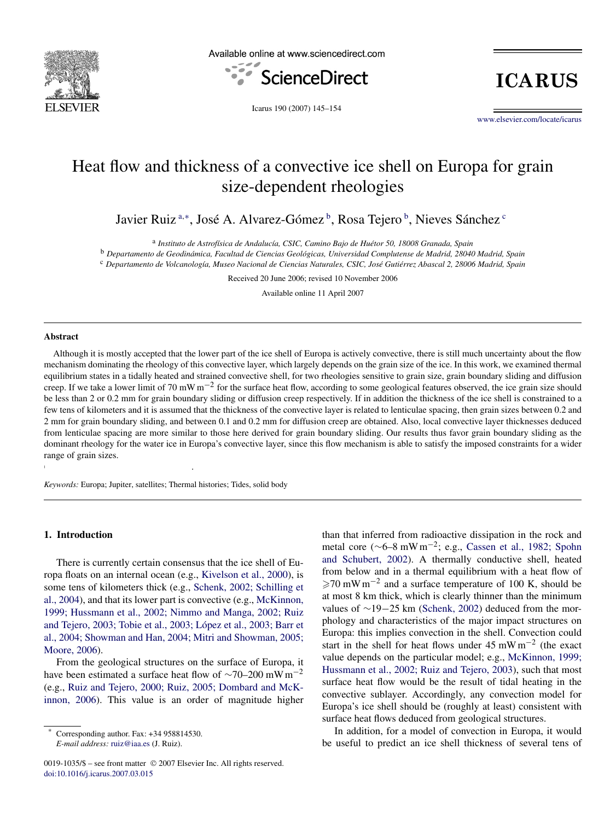# Heat flow and thickness of a convective ice shell on Europa for grain size-dependent rheologies

Javier Ruiz <sup>a,∗</sup>, José A. Alvarez-Gómez <sup>b</sup>, Rosa Tejero <sup>b</sup>, Nieves Sánchez <sup>c</sup>

<sup>a</sup> *Instituto de Astrofísica de Andalucía, CSIC, Camino Bajo de Huétor 50, 18008 Granada, Spain* <sup>b</sup> *Departamento de Geodinámica, Facultad de Ciencias Geológicas, Universidad Complutense de Madrid, 28040 Madrid, Spain* <sup>c</sup> *Departamento de Volcanología, Museo Nacional de Ciencias Naturales, CSIC, José Gutiérrez Abascal 2, 28006 Madrid, Spain*

Received 20 June 2006; revised 10 November 2006

Available online 11 April 2007

#### **Abstract**

Although it is mostly accepted that the lower part of the ice shell of Europa is actively convective, there is still much uncertainty about the flow mechanism dominating the rheology of this convective layer, which largely depends on the grain size of the ice. In this work, we examined thermal equilibrium states in a tidally heated and strained convective shell, for two rheologies sensitive to grain size, grain boundary sliding and diffusion creep. If we take a lower limit of 70 mW m−<sup>2</sup> for the surface heat flow, according to some geological features observed, the ice grain size should be less than 2 or 0.2 mm for grain boundary sliding or diffusion creep respectively. If in addition the thickness of the ice shell is constrained to a few tens of kilometers and it is assumed that the thickness of the convective layer is related to lenticulae spacing, then grain sizes between 0.2 and 2 mm for grain boundary sliding, and between 0.1 and 0.2 mm for diffusion creep are obtained. Also, local convective layer thicknesses deduced from lenticulae spacing are more similar to those here derived for grain boundary sliding. Our results thus favor grain boundary sliding as the dominant rheology for the water ice in Europa's convective layer, since this flow mechanism is able to satisfy the imposed constraints for a wider range of grain sizes.

*Keywords:* Europa; Jupiter, satellites; Thermal histories; Tides, solid body

 $C = \frac{1}{2}$ 

# **1. Introduction**

There is currently certain consensus that the ice shell of Europa floats on an internal ocean (e.g., [Kivelson et al., 2000\)](#page-9-0), is some tens of kilometers thick (e.g., [Schenk, 2002; Schilling et](#page-9-0) [al., 2004\)](#page-9-0), and that its lower part is convective (e.g., [McKinnon,](#page-9-0) [1999; Hussmann et al., 2002; Nimmo and Manga, 2002; Ruiz](#page-9-0) [and Tejero, 2003; Tobie et al., 2003; López et al., 2003; Barr et](#page-9-0) [al., 2004; Showman and Han, 2004; Mitri and Showman, 2005;](#page-9-0) [Moore, 2006\)](#page-9-0).

From the geological structures on the surface of Europa, it have been estimated a surface heat flow of  $\sim$ 70–200 mW m<sup>-2</sup> (e.g., [Ruiz and Tejero, 2000; Ruiz, 2005; Dombard and McK](#page-9-0)[innon, 2006\)](#page-9-0). This value is an order of magnitude higher than that inferred from radioactive dissipation in the rock and metal core (∼6–8 mW m−2; e.g., [Cassen et al., 1982; Spohn](#page-8-0) [and Schubert, 2002\)](#page-8-0). A thermally conductive shell, heated from below and in a thermal equilibrium with a heat flow of  $\geq$ 70 mW m<sup>-2</sup> and a surface temperature of 100 K, should be at most 8 km thick, which is clearly thinner than the minimum values of ∼19−25 km [\(Schenk, 2002\)](#page-9-0) deduced from the morphology and characteristics of the major impact structures on Europa: this implies convection in the shell. Convection could start in the shell for heat flows under  $45 \text{ mW m}^{-2}$  (the exact value depends on the particular model; e.g., [McKinnon, 1999;](#page-9-0) [Hussmann et al., 2002; Ruiz and Tejero, 2003\)](#page-9-0), such that most surface heat flow would be the result of tidal heating in the convective sublayer. Accordingly, any convection model for Europa's ice shell should be (roughly at least) consistent with surface heat flows deduced from geological structures.

In addition, for a model of convection in Europa, it would be useful to predict an ice shell thickness of several tens of

Corresponding author. Fax: +34 958814530.

*E-mail address:* [ruiz@iaa.es](mailto:ruiz@iaa.es) (J. Ruiz).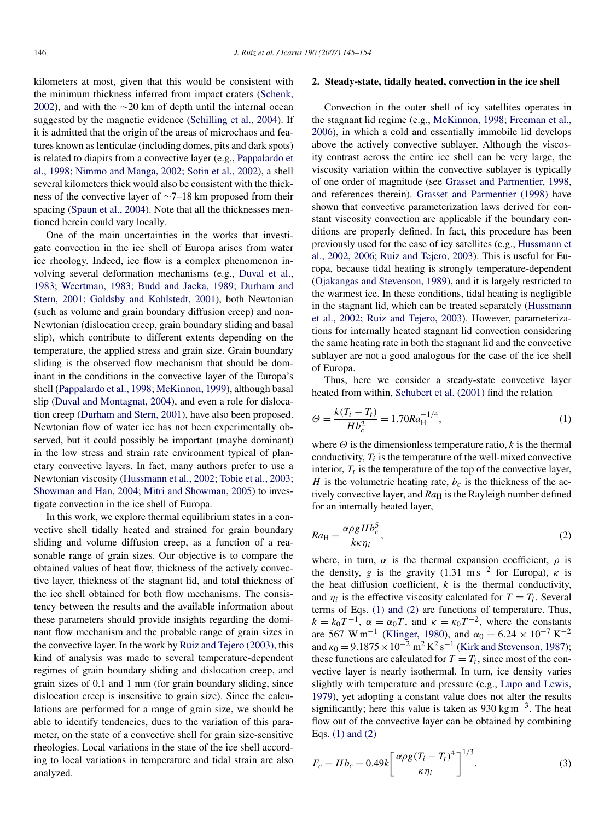<span id="page-1-0"></span>kilometers at most, given that this would be consistent with the minimum thickness inferred from impact craters [\(Schenk,](#page-9-0) [2002\)](#page-9-0), and with the ∼20 km of depth until the internal ocean suggested by the magnetic evidence [\(Schilling et al., 2004\)](#page-9-0). If it is admitted that the origin of the areas of microchaos and features known as lenticulae (including domes, pits and dark spots) is related to diapirs from a convective layer (e.g., [Pappalardo et](#page-9-0) [al., 1998; Nimmo and Manga, 2002; Sotin et al., 2002\)](#page-9-0), a shell several kilometers thick would also be consistent with the thickness of the convective layer of ∼7–18 km proposed from their spacing [\(Spaun et al., 2004\)](#page-9-0). Note that all the thicknesses mentioned herein could vary locally.

One of the main uncertainties in the works that investigate convection in the ice shell of Europa arises from water ice rheology. Indeed, ice flow is a complex phenomenon involving several deformation mechanisms (e.g., [Duval et al.,](#page-8-0) [1983; Weertman, 1983; Budd and Jacka, 1989; Durham and](#page-8-0) [Stern, 2001; Goldsby and Kohlstedt, 2001\)](#page-8-0), both Newtonian (such as volume and grain boundary diffusion creep) and non-Newtonian (dislocation creep, grain boundary sliding and basal slip), which contribute to different extents depending on the temperature, the applied stress and grain size. Grain boundary sliding is the observed flow mechanism that should be dominant in the conditions in the convective layer of the Europa's shell [\(Pappalardo et al., 1998; McKinnon, 1999\)](#page-9-0), although basal slip [\(Duval and Montagnat, 2004\)](#page-8-0), and even a role for dislocation creep [\(Durham and Stern, 2001\)](#page-8-0), have also been proposed. Newtonian flow of water ice has not been experimentally observed, but it could possibly be important (maybe dominant) in the low stress and strain rate environment typical of planetary convective layers. In fact, many authors prefer to use a Newtonian viscosity [\(Hussmann et al., 2002; Tobie et al., 2003;](#page-9-0) [Showman and Han, 2004; Mitri and Showman, 2005\)](#page-9-0) to investigate convection in the ice shell of Europa.

In this work, we explore thermal equilibrium states in a convective shell tidally heated and strained for grain boundary sliding and volume diffusion creep, as a function of a reasonable range of grain sizes. Our objective is to compare the obtained values of heat flow, thickness of the actively convective layer, thickness of the stagnant lid, and total thickness of the ice shell obtained for both flow mechanisms. The consistency between the results and the available information about these parameters should provide insights regarding the dominant flow mechanism and the probable range of grain sizes in the convective layer. In the work by [Ruiz and Tejero \(2003\),](#page-9-0) this kind of analysis was made to several temperature-dependent regimes of grain boundary sliding and dislocation creep, and grain sizes of 0.1 and 1 mm (for grain boundary sliding, since dislocation creep is insensitive to grain size). Since the calculations are performed for a range of grain size, we should be able to identify tendencies, dues to the variation of this parameter, on the state of a convective shell for grain size-sensitive rheologies. Local variations in the state of the ice shell according to local variations in temperature and tidal strain are also analyzed.

## **2. Steady-state, tidally heated, convection in the ice shell**

Convection in the outer shell of icy satellites operates in the stagnant lid regime (e.g., [McKinnon, 1998; Freeman et al.,](#page-9-0) [2006\)](#page-9-0), in which a cold and essentially immobile lid develops above the actively convective sublayer. Although the viscosity contrast across the entire ice shell can be very large, the viscosity variation within the convective sublayer is typically of one order of magnitude (see [Grasset and Parmentier, 1998,](#page-9-0) and references therein). [Grasset and Parmentier \(1998\)](#page-9-0) have shown that convective parameterization laws derived for constant viscosity convection are applicable if the boundary conditions are properly defined. In fact, this procedure has been previously used for the case of icy satellites (e.g., [Hussmann et](#page-9-0) [al., 2002, 2006;](#page-9-0) [Ruiz and Tejero, 2003\)](#page-9-0). This is useful for Europa, because tidal heating is strongly temperature-dependent [\(Ojakangas and Stevenson, 1989\)](#page-9-0), and it is largely restricted to the warmest ice. In these conditions, tidal heating is negligible in the stagnant lid, which can be treated separately [\(Hussmann](#page-9-0) [et al., 2002; Ruiz and Tejero, 2003\)](#page-9-0). However, parameterizations for internally heated stagnant lid convection considering the same heating rate in both the stagnant lid and the convective sublayer are not a good analogous for the case of the ice shell of Europa.

Thus, here we consider a steady-state convective layer heated from within, [Schubert et al. \(2001\)](#page-9-0) find the relation

$$
\Theta = \frac{k(T_i - T_t)}{Hb_c^2} = 1.70Ra_{\text{H}}^{-1/4},\tag{1}
$$

where  $\Theta$  is the dimensionless temperature ratio,  $k$  is the thermal conductivity, *Ti* is the temperature of the well-mixed convective interior,  $T_t$  is the temperature of the top of the convective layer, *H* is the volumetric heating rate,  $b_c$  is the thickness of the actively convective layer, and  $Ra_H$  is the Rayleigh number defined for an internally heated layer,

$$
Ra_{\rm H} = \frac{\alpha \rho g H b_c^5}{k \kappa \eta_i},\tag{2}
$$

where, in turn,  $\alpha$  is the thermal expansion coefficient,  $\rho$  is the density, *g* is the gravity (1.31 m s<sup>-2</sup> for Europa),  $\kappa$  is the heat diffusion coefficient,  $k$  is the thermal conductivity, and  $\eta_i$  is the effective viscosity calculated for  $T = T_i$ . Several terms of Eqs. (1) and (2) are functions of temperature. Thus,  $k = k_0 T^{-1}$ ,  $\alpha = \alpha_0 T$ , and  $\kappa = \kappa_0 T^{-2}$ , where the constants are 567 W m<sup>-1</sup> [\(Klinger, 1980\)](#page-9-0), and  $\alpha_0 = 6.24 \times 10^{-7} \text{ K}^{-2}$ and  $\kappa_0 = 9.1875 \times 10^{-2} \text{ m}^2 \text{ K}^2 \text{ s}^{-1}$  [\(Kirk and Stevenson, 1987\)](#page-9-0); these functions are calculated for  $T = T_i$ , since most of the convective layer is nearly isothermal. In turn, ice density varies slightly with temperature and pressure (e.g., [Lupo and Lewis,](#page-9-0) [1979\)](#page-9-0), yet adopting a constant value does not alter the results significantly; here this value is taken as 930 kg m<sup> $-3$ </sup>. The heat flow out of the convective layer can be obtained by combining Eqs. (1) and (2)

$$
F_c = Hb_c = 0.49k \left[ \frac{\alpha \rho g (T_i - T_l)^4}{\kappa \eta_i} \right]^{1/3}.
$$
 (3)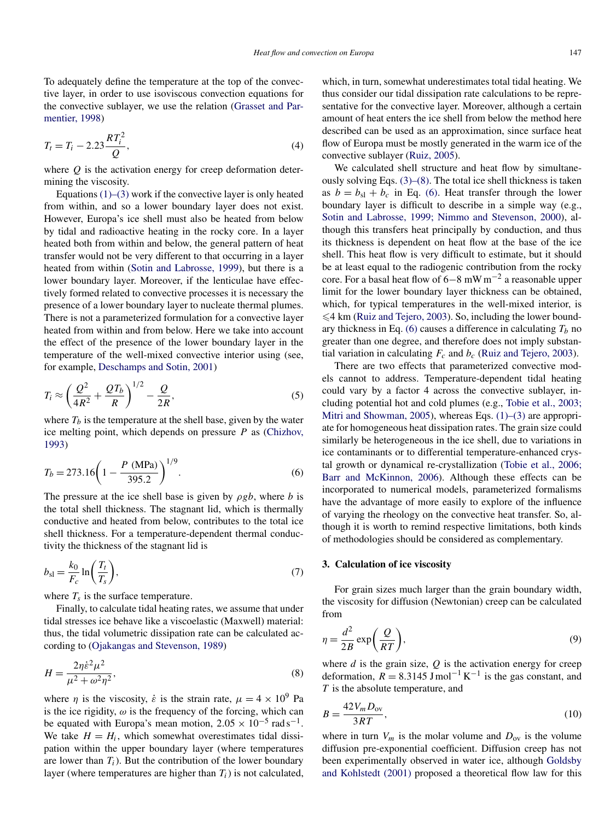<span id="page-2-0"></span>To adequately define the temperature at the top of the convective layer, in order to use isoviscous convection equations for the convective sublayer, we use the relation [\(Grasset and Par](#page-9-0)[mentier, 1998\)](#page-9-0)

$$
T_t = T_i - 2.23 \frac{RT_i^2}{Q},\tag{4}
$$

where *Q* is the activation energy for creep deformation determining the viscosity.

Equations  $(1)$ – $(3)$  work if the convective layer is only heated from within, and so a lower boundary layer does not exist. However, Europa's ice shell must also be heated from below by tidal and radioactive heating in the rocky core. In a layer heated both from within and below, the general pattern of heat transfer would not be very different to that occurring in a layer heated from within [\(Sotin and Labrosse, 1999\)](#page-9-0), but there is a lower boundary layer. Moreover, if the lenticulae have effectively formed related to convective processes it is necessary the presence of a lower boundary layer to nucleate thermal plumes. There is not a parameterized formulation for a convective layer heated from within and from below. Here we take into account the effect of the presence of the lower boundary layer in the temperature of the well-mixed convective interior using (see, for example, [Deschamps and Sotin, 2001\)](#page-8-0)

$$
T_i \approx \left(\frac{Q^2}{4R^2} + \frac{QT_b}{R}\right)^{1/2} - \frac{Q}{2R},\tag{5}
$$

where  $T_b$  is the temperature at the shell base, given by the water ice melting point, which depends on pressure *P* as [\(Chizhov,](#page-8-0) [1993\)](#page-8-0)

$$
T_b = 273.16 \left( 1 - \frac{P \text{ (MPa)}}{395.2} \right)^{1/9}.
$$
 (6)

The pressure at the ice shell base is given by *ρgb*, where *b* is the total shell thickness. The stagnant lid, which is thermally conductive and heated from below, contributes to the total ice shell thickness. For a temperature-dependent thermal conductivity the thickness of the stagnant lid is

$$
b_{\rm sl} = \frac{k_0}{F_c} \ln\left(\frac{T_t}{T_s}\right),\tag{7}
$$

where  $T_s$  is the surface temperature.

Finally, to calculate tidal heating rates, we assume that under tidal stresses ice behave like a viscoelastic (Maxwell) material: thus, the tidal volumetric dissipation rate can be calculated according to [\(Ojakangas and Stevenson, 1989\)](#page-9-0)

$$
H = \frac{2\eta \dot{\varepsilon}^2 \mu^2}{\mu^2 + \omega^2 \eta^2},\tag{8}
$$

where *η* is the viscosity, *ε*<sup> $i$ </sup> is the strain rate,  $\mu = 4 \times 10^9$  Pa is the ice rigidity,  $\omega$  is the frequency of the forcing, which can be equated with Europa's mean motion,  $2.05 \times 10^{-5}$  rad s<sup>-1</sup>. We take  $H = H_i$ , which somewhat overestimates tidal dissipation within the upper boundary layer (where temperatures are lower than  $T_i$ ). But the contribution of the lower boundary layer (where temperatures are higher than  $T_i$ ) is not calculated, which, in turn, somewhat underestimates total tidal heating. We thus consider our tidal dissipation rate calculations to be representative for the convective layer. Moreover, although a certain amount of heat enters the ice shell from below the method here described can be used as an approximation, since surface heat flow of Europa must be mostly generated in the warm ice of the convective sublayer [\(Ruiz, 2005\)](#page-9-0).

We calculated shell structure and heat flow by simultaneously solving Eqs. [\(3\)–\(8\).](#page-1-0) The total ice shell thickness is taken as  $b = b_{s1} + b_c$  in Eq. (6). Heat transfer through the lower boundary layer is difficult to describe in a simple way (e.g., [Sotin and Labrosse, 1999; Nimmo and Stevenson, 2000\)](#page-9-0), although this transfers heat principally by conduction, and thus its thickness is dependent on heat flow at the base of the ice shell. This heat flow is very difficult to estimate, but it should be at least equal to the radiogenic contribution from the rocky core. For a basal heat flow of 6−8 mW m−<sup>2</sup> a reasonable upper limit for the lower boundary layer thickness can be obtained, which, for typical temperatures in the well-mixed interior, is  $\leq 4$  km [\(Ruiz and Tejero, 2003\)](#page-9-0). So, including the lower boundary thickness in Eq. (6) causes a difference in calculating  $T_b$  no greater than one degree, and therefore does not imply substantial variation in calculating  $F_c$  and  $b_c$  [\(Ruiz and Tejero, 2003\)](#page-9-0).

There are two effects that parameterized convective models cannot to address. Temperature-dependent tidal heating could vary by a factor 4 across the convective sublayer, including potential hot and cold plumes (e.g., [Tobie et al., 2003;](#page-9-0) [Mitri and Showman, 2005\)](#page-9-0), whereas Eqs. [\(1\)–\(3\)](#page-1-0) are appropriate for homogeneous heat dissipation rates. The grain size could similarly be heterogeneous in the ice shell, due to variations in ice contaminants or to differential temperature-enhanced crystal growth or dynamical re-crystallization [\(Tobie et al., 2006;](#page-9-0) [Barr and McKinnon, 2006\)](#page-9-0). Although these effects can be incorporated to numerical models, parameterized formalisms have the advantage of more easily to explore of the influence of varying the rheology on the convective heat transfer. So, although it is worth to remind respective limitations, both kinds of methodologies should be considered as complementary.

## **3. Calculation of ice viscosity**

For grain sizes much larger than the grain boundary width, the viscosity for diffusion (Newtonian) creep can be calculated from

$$
\eta = \frac{d^2}{2B} \exp\left(\frac{Q}{RT}\right),\tag{9}
$$

where  $d$  is the grain size,  $Q$  is the activation energy for creep deformation,  $R = 8.3145$  J mol<sup>-1</sup> K<sup>-1</sup> is the gas constant, and *T* is the absolute temperature, and

$$
B = \frac{42V_m D_{\text{ov}}}{3RT},\tag{10}
$$

where in turn  $V_m$  is the molar volume and  $D_{\text{ov}}$  is the volume diffusion pre-exponential coefficient. Diffusion creep has not been experimentally observed in water ice, although [Goldsby](#page-8-0) [and Kohlstedt \(2001\)](#page-8-0) proposed a theoretical flow law for this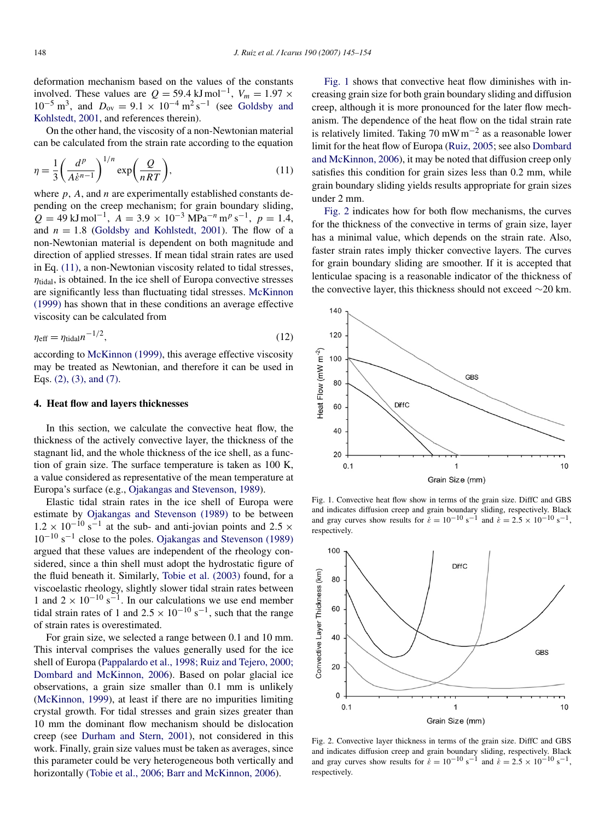<span id="page-3-0"></span>deformation mechanism based on the values of the constants involved. These values are  $Q = 59.4 \text{ kJ} \text{ mol}^{-1}$ ,  $V_m = 1.97 \times$  $10^{-5}$  m<sup>3</sup>, and  $D_{\text{ov}} = 9.1 \times 10^{-4}$  m<sup>2</sup> s<sup>-1</sup> (see [Goldsby and](#page-8-0) [Kohlstedt, 2001,](#page-8-0) and references therein).

On the other hand, the viscosity of a non-Newtonian material can be calculated from the strain rate according to the equation

$$
\eta = \frac{1}{3} \left( \frac{d^p}{A \dot{\varepsilon}^{n-1}} \right)^{1/n} \exp\left( \frac{Q}{nRT} \right),\tag{11}
$$

where *p*, *A*, and *n* are experimentally established constants depending on the creep mechanism; for grain boundary sliding,  $Q = 49 \text{ kJ} \text{mol}^{-1}$ ,  $A = 3.9 \times 10^{-3} \text{ MPa}^{-n} \text{m}^p \text{ s}^{-1}$ ,  $p = 1.4$ , and  $n = 1.8$  [\(Goldsby and Kohlstedt, 2001\)](#page-8-0). The flow of a non-Newtonian material is dependent on both magnitude and direction of applied stresses. If mean tidal strain rates are used in Eq. (11), a non-Newtonian viscosity related to tidal stresses,  $\eta_{tidal}$ , is obtained. In the ice shell of Europa convective stresses are significantly less than fluctuating tidal stresses. [McKinnon](#page-9-0) [\(1999\)](#page-9-0) has shown that in these conditions an average effective viscosity can be calculated from

$$
\eta_{\text{eff}} = \eta_{\text{tidal}} n^{-1/2},\tag{12}
$$

according to [McKinnon \(1999\),](#page-9-0) this average effective viscosity may be treated as Newtonian, and therefore it can be used in Eqs. [\(2\), \(3\), and \(7\).](#page-1-0)

# **4. Heat flow and layers thicknesses**

In this section, we calculate the convective heat flow, the thickness of the actively convective layer, the thickness of the stagnant lid, and the whole thickness of the ice shell, as a function of grain size. The surface temperature is taken as 100 K, a value considered as representative of the mean temperature at Europa's surface (e.g., [Ojakangas and Stevenson, 1989\)](#page-9-0).

Elastic tidal strain rates in the ice shell of Europa were estimate by [Ojakangas and Stevenson \(1989\)](#page-9-0) to be between  $1.2 \times 10^{-10}$  s<sup>-1</sup> at the sub- and anti-jovian points and 2.5  $\times$  $10^{-10}$  s<sup>-1</sup> close to the poles. [Ojakangas and Stevenson \(1989\)](#page-9-0) argued that these values are independent of the rheology considered, since a thin shell must adopt the hydrostatic figure of the fluid beneath it. Similarly, [Tobie et al. \(2003\)](#page-9-0) found, for a viscoelastic rheology, slightly slower tidal strain rates between 1 and  $2 \times 10^{-10}$  s<sup>-1</sup>. In our calculations we use end member tidal strain rates of 1 and  $2.5 \times 10^{-10}$  s<sup>-1</sup>, such that the range of strain rates is overestimated.

For grain size, we selected a range between 0.1 and 10 mm. This interval comprises the values generally used for the ice shell of Europa [\(Pappalardo et al., 1998; Ruiz and Tejero, 2000;](#page-9-0) [Dombard and McKinnon, 2006\)](#page-9-0). Based on polar glacial ice observations, a grain size smaller than 0.1 mm is unlikely [\(McKinnon, 1999\)](#page-9-0), at least if there are no impurities limiting crystal growth. For tidal stresses and grain sizes greater than 10 mm the dominant flow mechanism should be dislocation creep (see [Durham and Stern, 2001\)](#page-8-0), not considered in this work. Finally, grain size values must be taken as averages, since this parameter could be very heterogeneous both vertically and horizontally [\(Tobie et al., 2006; Barr and McKinnon, 2006\)](#page-9-0).

Fig. 1 shows that convective heat flow diminishes with increasing grain size for both grain boundary sliding and diffusion creep, although it is more pronounced for the later flow mechanism. The dependence of the heat flow on the tidal strain rate is relatively limited. Taking 70 mW  $m^{-2}$  as a reasonable lower limit for the heat flow of Europa [\(Ruiz, 2005;](#page-9-0) see also [Dombard](#page-8-0) [and McKinnon, 2006\)](#page-8-0), it may be noted that diffusion creep only satisfies this condition for grain sizes less than 0.2 mm, while grain boundary sliding yields results appropriate for grain sizes under 2 mm.

Fig. 2 indicates how for both flow mechanisms, the curves for the thickness of the convective in terms of grain size, layer has a minimal value, which depends on the strain rate. Also, faster strain rates imply thicker convective layers. The curves for grain boundary sliding are smoother. If it is accepted that lenticulae spacing is a reasonable indicator of the thickness of the convective layer, this thickness should not exceed ∼20 km.



Fig. 1. Convective heat flow show in terms of the grain size. DiffC and GBS and indicates diffusion creep and grain boundary sliding, respectively. Black and gray curves show results for  $\dot{\epsilon} = 10^{-10} \text{ s}^{-1}$  and  $\dot{\epsilon} = 2.5 \times 10^{-10} \text{ s}^{-1}$ , respectively.



Fig. 2. Convective layer thickness in terms of the grain size. DiffC and GBS and indicates diffusion creep and grain boundary sliding, respectively. Black and gray curves show results for  $\dot{\varepsilon} = 10^{-10} \text{ s}^{-1}$  and  $\dot{\varepsilon} = 2.5 \times 10^{-10} \text{ s}^{-1}$ , respectively.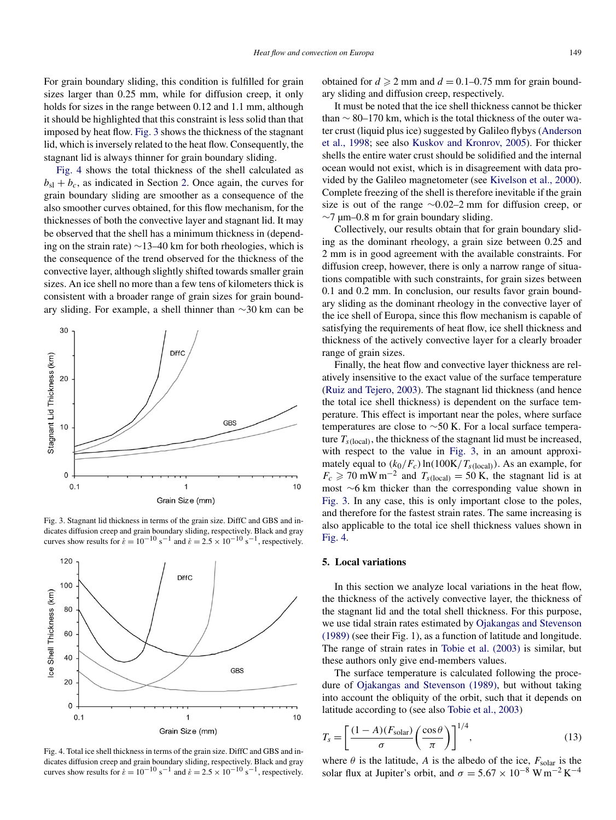<span id="page-4-0"></span>For grain boundary sliding, this condition is fulfilled for grain sizes larger than 0.25 mm, while for diffusion creep, it only holds for sizes in the range between 0.12 and 1.1 mm, although it should be highlighted that this constraint is less solid than that imposed by heat flow. Fig. 3 shows the thickness of the stagnant lid, which is inversely related to the heat flow. Consequently, the stagnant lid is always thinner for grain boundary sliding.

Fig. 4 shows the total thickness of the shell calculated as  $b_{\rm sl} + b_c$ , as indicated in Section [2.](#page-1-0) Once again, the curves for grain boundary sliding are smoother as a consequence of the also smoother curves obtained, for this flow mechanism, for the thicknesses of both the convective layer and stagnant lid. It may be observed that the shell has a minimum thickness in (depending on the strain rate) ∼13–40 km for both rheologies, which is the consequence of the trend observed for the thickness of the convective layer, although slightly shifted towards smaller grain sizes. An ice shell no more than a few tens of kilometers thick is consistent with a broader range of grain sizes for grain boundary sliding. For example, a shell thinner than ∼30 km can be



Fig. 3. Stagnant lid thickness in terms of the grain size. DiffC and GBS and indicates diffusion creep and grain boundary sliding, respectively. Black and gray curves show results for  $\dot{\epsilon} = 10^{-10}$  s<sup>-1</sup> and  $\dot{\epsilon} = 2.5 \times 10^{-10}$  s<sup>-1</sup>, respectively.



Fig. 4. Total ice shell thickness in terms of the grain size. DiffC and GBS and indicates diffusion creep and grain boundary sliding, respectively. Black and gray curves show results for  $\dot{\epsilon} = 10^{-10}$  s<sup>-1</sup> and  $\dot{\epsilon} = 2.5 \times 10^{-10}$  s<sup>-1</sup>, respectively.

obtained for  $d \ge 2$  mm and  $d = 0.1 - 0.75$  mm for grain boundary sliding and diffusion creep, respectively.

It must be noted that the ice shell thickness cannot be thicker than  $\sim$  80–170 km, which is the total thickness of the outer water crust (liquid plus ice) suggested by Galileo flybys [\(Anderson](#page-8-0) [et al., 1998;](#page-8-0) see also [Kuskov and Kronrov, 2005\)](#page-9-0). For thicker shells the entire water crust should be solidified and the internal ocean would not exist, which is in disagreement with data provided by the Galileo magnetometer (see [Kivelson et al., 2000\)](#page-9-0). Complete freezing of the shell is therefore inevitable if the grain size is out of the range ∼0*.*02–2 mm for diffusion creep, or ∼7 µm–0*.*8 m for grain boundary sliding.

Collectively, our results obtain that for grain boundary sliding as the dominant rheology, a grain size between 0.25 and 2 mm is in good agreement with the available constraints. For diffusion creep, however, there is only a narrow range of situations compatible with such constraints, for grain sizes between 0.1 and 0.2 mm. In conclusion, our results favor grain boundary sliding as the dominant rheology in the convective layer of the ice shell of Europa, since this flow mechanism is capable of satisfying the requirements of heat flow, ice shell thickness and thickness of the actively convective layer for a clearly broader range of grain sizes.

Finally, the heat flow and convective layer thickness are relatively insensitive to the exact value of the surface temperature [\(Ruiz and Tejero, 2003\)](#page-9-0). The stagnant lid thickness (and hence the total ice shell thickness) is dependent on the surface temperature. This effect is important near the poles, where surface temperatures are close to ∼50 K. For a local surface temperature  $T_{s\text{(local)}}$ , the thickness of the stagnant lid must be increased, with respect to the value in Fig. 3, in an amount approximately equal to  $(k_0/F_c) \ln(100K/T<sub>s</sub>(local))$ . As an example, for  $F_c \ge 70$  mW m<sup>-2</sup> and  $T_{s(local)} = 50$  K, the stagnant lid is at most ∼6 km thicker than the corresponding value shown in Fig. 3. In any case, this is only important close to the poles, and therefore for the fastest strain rates. The same increasing is also applicable to the total ice shell thickness values shown in Fig. 4.

## **5. Local variations**

In this section we analyze local variations in the heat flow, the thickness of the actively convective layer, the thickness of the stagnant lid and the total shell thickness. For this purpose, we use tidal strain rates estimated by [Ojakangas and Stevenson](#page-9-0) [\(1989\)](#page-9-0) (see their Fig. 1), as a function of latitude and longitude. The range of strain rates in [Tobie et al. \(2003\)](#page-9-0) is similar, but these authors only give end-members values.

The surface temperature is calculated following the procedure of [Ojakangas and Stevenson \(1989\),](#page-9-0) but without taking into account the obliquity of the orbit, such that it depends on latitude according to (see also [Tobie et al., 2003\)](#page-9-0)

$$
T_s = \left[\frac{(1-A)(F_{\text{solar}})}{\sigma} \left(\frac{\cos \theta}{\pi}\right)\right]^{1/4},\tag{13}
$$

where  $\theta$  is the latitude, A is the albedo of the ice,  $F_{\text{solar}}$  is the solar flux at Jupiter's orbit, and  $\sigma = 5.67 \times 10^{-8} \text{ W m}^{-2} \text{ K}^{-4}$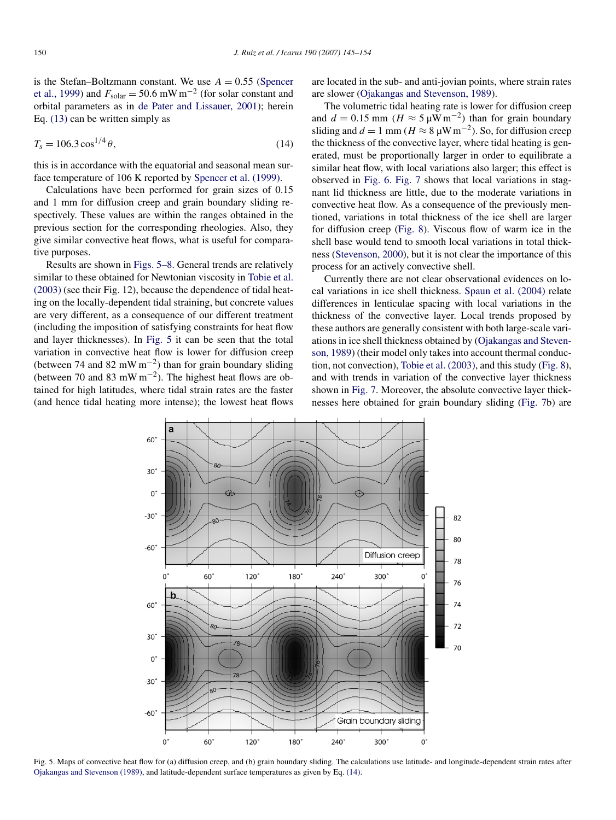is the Stefan–Boltzmann constant. We use  $A = 0.55$  [\(Spencer](#page-9-0) [et al., 1999\)](#page-9-0) and  $F_{\text{solar}} = 50.6 \text{ mW m}^{-2}$  (for solar constant and orbital parameters as in [de Pater and Lissauer, 2001\)](#page-8-0); herein Eq. [\(13\)](#page-4-0) can be written simply as

$$
T_s = 106.3 \cos^{1/4} \theta,\tag{14}
$$

this is in accordance with the equatorial and seasonal mean surface temperature of 106 K reported by [Spencer et al. \(1999\).](#page-9-0)

Calculations have been performed for grain sizes of 0.15 and 1 mm for diffusion creep and grain boundary sliding respectively. These values are within the ranges obtained in the previous section for the corresponding rheologies. Also, they give similar convective heat flows, what is useful for comparative purposes.

Results are shown in Figs. 5–8. General trends are relatively similar to these obtained for Newtonian viscosity in [Tobie et al.](#page-9-0) [\(2003\)](#page-9-0) (see their Fig. 12), because the dependence of tidal heating on the locally-dependent tidal straining, but concrete values are very different, as a consequence of our different treatment (including the imposition of satisfying constraints for heat flow and layer thicknesses). In Fig. 5 it can be seen that the total variation in convective heat flow is lower for diffusion creep (between 74 and 82 mW m<sup>-2</sup>) than for grain boundary sliding (between 70 and 83 mW m−2). The highest heat flows are obtained for high latitudes, where tidal strain rates are the faster (and hence tidal heating more intense); the lowest heat flows

are located in the sub- and anti-jovian points, where strain rates are slower [\(Ojakangas and Stevenson, 1989\)](#page-9-0).

The volumetric tidal heating rate is lower for diffusion creep and  $d = 0.15$  mm ( $H \approx 5 \mu W m^{-2}$ ) than for grain boundary sliding and  $d = 1$  mm ( $H \approx 8$  uW m<sup>-2</sup>). So, for diffusion creep the thickness of the convective layer, where tidal heating is generated, must be proportionally larger in order to equilibrate a similar heat flow, with local variations also larger; this effect is observed in [Fig. 6.](#page-6-0) [Fig. 7](#page-6-0) shows that local variations in stagnant lid thickness are little, due to the moderate variations in convective heat flow. As a consequence of the previously mentioned, variations in total thickness of the ice shell are larger for diffusion creep [\(Fig. 8\)](#page-7-0). Viscous flow of warm ice in the shell base would tend to smooth local variations in total thickness [\(Stevenson, 2000\)](#page-9-0), but it is not clear the importance of this process for an actively convective shell.

Currently there are not clear observational evidences on local variations in ice shell thickness. [Spaun et al. \(2004\)](#page-9-0) relate differences in lenticulae spacing with local variations in the thickness of the convective layer. Local trends proposed by these authors are generally consistent with both large-scale variations in ice shell thickness obtained by [\(Ojakangas and Steven](#page-9-0)[son, 1989\)](#page-9-0) (their model only takes into account thermal conduction, not convection), [Tobie et al. \(2003\),](#page-9-0) and this study [\(Fig. 8\)](#page-7-0), and with trends in variation of the convective layer thickness shown in [Fig. 7.](#page-6-0) Moreover, the absolute convective layer thicknesses here obtained for grain boundary sliding [\(Fig. 7b](#page-6-0)) are



Fig. 5. Maps of convective heat flow for (a) diffusion creep, and (b) grain boundary sliding. The calculations use latitude- and longitude-dependent strain rates after [Ojakangas and Stevenson \(1989\),](#page-9-0) and latitude-dependent surface temperatures as given by Eq. (14).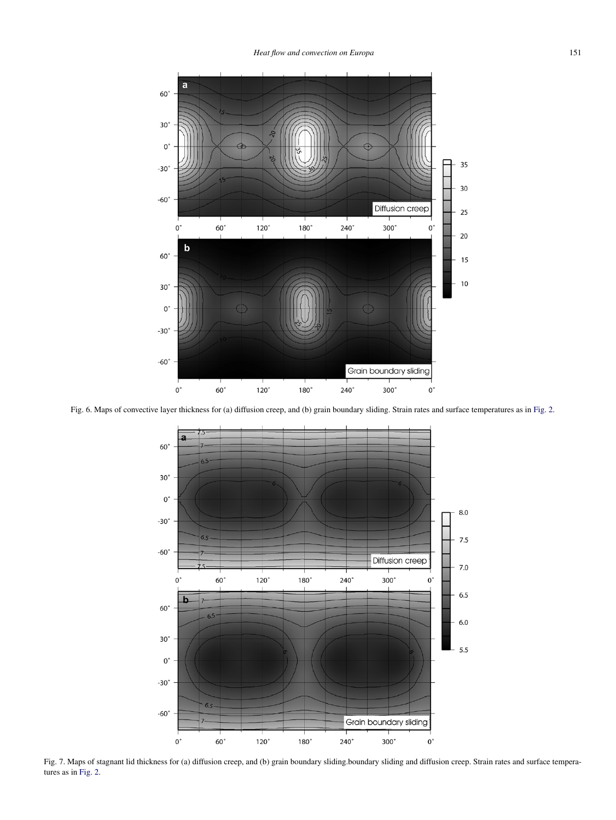

<span id="page-6-0"></span>

Fig. 6. Maps of convective layer thickness for (a) diffusion creep, and (b) grain boundary sliding. Strain rates and surface temperatures as in [Fig. 2.](#page-3-0)



Fig. 7. Maps of stagnant lid thickness for (a) diffusion creep, and (b) grain boundary sliding.boundary sliding and diffusion creep. Strain rates and surface temperatures as in [Fig. 2.](#page-3-0)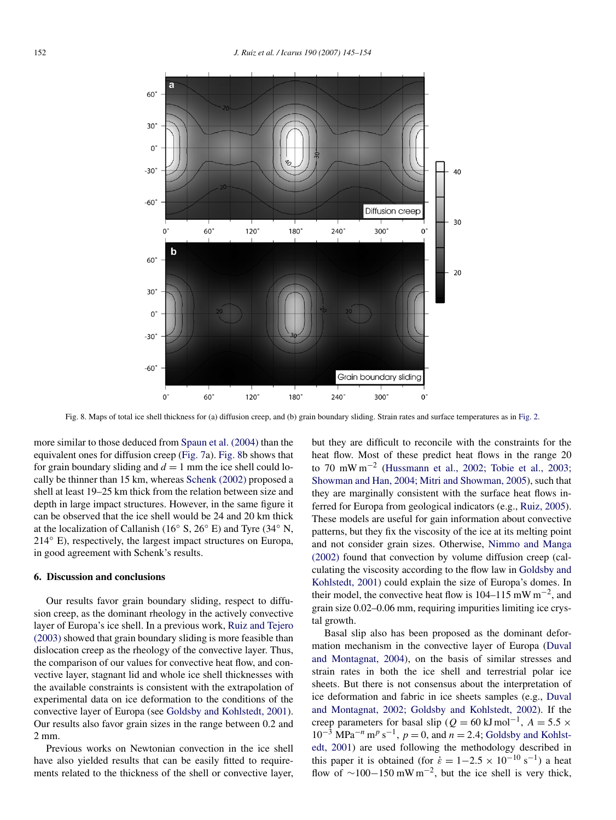<span id="page-7-0"></span>

Fig. 8. Maps of total ice shell thickness for (a) diffusion creep, and (b) grain boundary sliding. Strain rates and surface temperatures as in [Fig. 2.](#page-3-0)

more similar to those deduced from [Spaun et al. \(2004\)](#page-9-0) than the equivalent ones for diffusion creep [\(Fig. 7a](#page-6-0)). Fig. 8b shows that for grain boundary sliding and  $d = 1$  mm the ice shell could locally be thinner than 15 km, whereas [Schenk \(2002\)](#page-9-0) proposed a shell at least 19–25 km thick from the relation between size and depth in large impact structures. However, in the same figure it can be observed that the ice shell would be 24 and 20 km thick at the localization of Callanish (16 $\degree$  S, 26 $\degree$  E) and Tyre (34 $\degree$  N, 214◦ E), respectively, the largest impact structures on Europa, in good agreement with Schenk's results.

# **6. Discussion and conclusions**

Our results favor grain boundary sliding, respect to diffusion creep, as the dominant rheology in the actively convective layer of Europa's ice shell. In a previous work, [Ruiz and Tejero](#page-9-0) [\(2003\)](#page-9-0) showed that grain boundary sliding is more feasible than dislocation creep as the rheology of the convective layer. Thus, the comparison of our values for convective heat flow, and convective layer, stagnant lid and whole ice shell thicknesses with the available constraints is consistent with the extrapolation of experimental data on ice deformation to the conditions of the convective layer of Europa (see [Goldsby and Kohlstedt, 2001\)](#page-8-0). Our results also favor grain sizes in the range between 0.2 and 2 mm.

Previous works on Newtonian convection in the ice shell have also yielded results that can be easily fitted to requirements related to the thickness of the shell or convective layer, but they are difficult to reconcile with the constraints for the heat flow. Most of these predict heat flows in the range 20 to 70 mW m−<sup>2</sup> [\(Hussmann et al., 2002; Tobie et al., 2003;](#page-9-0) [Showman and Han, 2004; Mitri and Showman, 2005\)](#page-9-0), such that they are marginally consistent with the surface heat flows inferred for Europa from geological indicators (e.g., [Ruiz, 2005\)](#page-9-0). These models are useful for gain information about convective patterns, but they fix the viscosity of the ice at its melting point and not consider grain sizes. Otherwise, [Nimmo and Manga](#page-9-0) [\(2002\)](#page-9-0) found that convection by volume diffusion creep (calculating the viscosity according to the flow law in [Goldsby and](#page-8-0) [Kohlstedt, 2001\)](#page-8-0) could explain the size of Europa's domes. In their model, the convective heat flow is 104–115 mW m<sup>-2</sup>, and grain size 0.02–0.06 mm, requiring impurities limiting ice crystal growth.

Basal slip also has been proposed as the dominant deformation mechanism in the convective layer of Europa [\(Duval](#page-8-0) [and Montagnat, 2004\)](#page-8-0), on the basis of similar stresses and strain rates in both the ice shell and terrestrial polar ice sheets. But there is not consensus about the interpretation of ice deformation and fabric in ice sheets samples (e.g., [Duval](#page-8-0) [and Montagnat, 2002; Goldsby and Kohlstedt, 2002\)](#page-8-0). If the creep parameters for basal slip ( $Q = 60 \text{ kJ} \text{ mol}^{-1}$ ,  $A = 5.5 \times$  $10^{-3}$  MPa<sup> $-n$ </sup> m<sup>*p*</sup> s<sup> $-1$ </sup>, *p* = 0, and *n* = 2.4; [Goldsby and Kohlst](#page-8-0)[edt, 2001\)](#page-8-0) are used following the methodology described in this paper it is obtained (for  $\dot{\varepsilon} = 1 - 2.5 \times 10^{-10} \text{ s}^{-1}$ ) a heat flow of  $\sim$ 100−150 mW m<sup>-2</sup>, but the ice shell is very thick,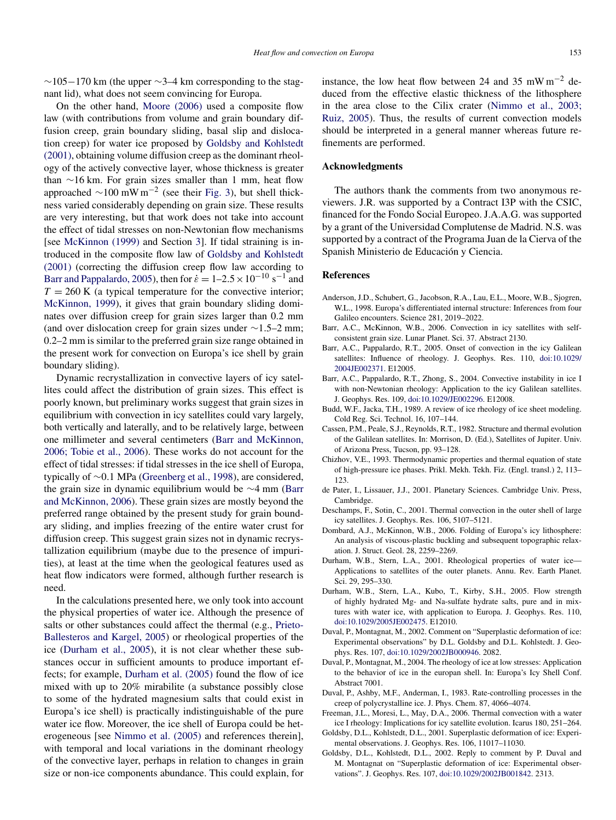<span id="page-8-0"></span> $\sim$ 105−170 km (the upper  $\sim$ 3−4 km corresponding to the stagnant lid), what does not seem convincing for Europa.

On the other hand, [Moore \(2006\)](#page-9-0) used a composite flow law (with contributions from volume and grain boundary diffusion creep, grain boundary sliding, basal slip and dislocation creep) for water ice proposed by Goldsby and Kohlstedt (2001), obtaining volume diffusion creep as the dominant rheology of the actively convective layer, whose thickness is greater than ∼16 km. For grain sizes smaller than 1 mm, heat flow approached  $\sim$ 100 mW m<sup>-2</sup> (see their [Fig. 3\)](#page-4-0), but shell thickness varied considerably depending on grain size. These results are very interesting, but that work does not take into account the effect of tidal stresses on non-Newtonian flow mechanisms [see [McKinnon \(1999\)](#page-9-0) and Section [3\]](#page-2-0). If tidal straining is introduced in the composite flow law of Goldsby and Kohlstedt (2001) (correcting the diffusion creep flow law according to Barr and Pappalardo, 2005), then for  $\dot{\epsilon} = 1-2.5 \times 10^{-10} \text{ s}^{-1}$  and  $T = 260$  K (a typical temperature for the convective interior; [McKinnon, 1999\)](#page-9-0), it gives that grain boundary sliding dominates over diffusion creep for grain sizes larger than 0.2 mm (and over dislocation creep for grain sizes under ∼1*.*5–2 mm; 0.2–2 mm is similar to the preferred grain size range obtained in the present work for convection on Europa's ice shell by grain boundary sliding).

Dynamic recrystallization in convective layers of icy satellites could affect the distribution of grain sizes. This effect is poorly known, but preliminary works suggest that grain sizes in equilibrium with convection in icy satellites could vary largely, both vertically and laterally, and to be relatively large, between one millimeter and several centimeters (Barr and McKinnon, 2006; Tobie et al., 2006). These works do not account for the effect of tidal stresses: if tidal stresses in the ice shell of Europa, typically of ∼0*.*1 MPa [\(Greenberg et al., 1998\)](#page-9-0), are considered, the grain size in dynamic equilibrium would be ∼4 mm (Barr and McKinnon, 2006). These grain sizes are mostly beyond the preferred range obtained by the present study for grain boundary sliding, and implies freezing of the entire water crust for diffusion creep. This suggest grain sizes not in dynamic recrystallization equilibrium (maybe due to the presence of impurities), at least at the time when the geological features used as heat flow indicators were formed, although further research is need.

In the calculations presented here, we only took into account the physical properties of water ice. Although the presence of salts or other substances could affect the thermal (e.g., [Prieto-](#page-9-0)[Ballesteros and Kargel, 2005\)](#page-9-0) or rheological properties of the ice (Durham et al., 2005), it is not clear whether these substances occur in sufficient amounts to produce important effects; for example, Durham et al. (2005) found the flow of ice mixed with up to 20% mirabilite (a substance possibly close to some of the hydrated magnesium salts that could exist in Europa's ice shell) is practically indistinguishable of the pure water ice flow. Moreover, the ice shell of Europa could be heterogeneous [see [Nimmo et al. \(2005\)](#page-9-0) and references therein], with temporal and local variations in the dominant rheology of the convective layer, perhaps in relation to changes in grain size or non-ice components abundance. This could explain, for instance, the low heat flow between 24 and 35 mW m<sup>-2</sup> deduced from the effective elastic thickness of the lithosphere in the area close to the Cilix crater [\(Nimmo et al., 2003;](#page-9-0) [Ruiz, 2005\)](#page-9-0). Thus, the results of current convection models should be interpreted in a general manner whereas future refinements are performed.

### **Acknowledgments**

The authors thank the comments from two anonymous reviewers. J.R. was supported by a Contract I3P with the CSIC, financed for the Fondo Social Europeo. J.A.A.G. was supported by a grant of the Universidad Complutense de Madrid. N.S. was supported by a contract of the Programa Juan de la Cierva of the Spanish Ministerio de Educación y Ciencia.

### **References**

- Anderson, J.D., Schubert, G., Jacobson, R.A., Lau, E.L., Moore, W.B., Sjogren, W.L., 1998. Europa's differentiated internal structure: Inferences from four Galileo encounters. Science 281, 2019–2022.
- Barr, A.C., McKinnon, W.B., 2006. Convection in icy satellites with selfconsistent grain size. Lunar Planet. Sci. 37. Abstract 2130.
- Barr, A.C., Pappalardo, R.T., 2005. Onset of convection in the icy Galilean satellites: Influence of rheology. J. Geophys. Res. 110, [doi:10.1029/](http://dx.doi.org/10.1029/2004JE002371) [2004JE002371](http://dx.doi.org/10.1029/2004JE002371). E12005.
- Barr, A.C., Pappalardo, R.T., Zhong, S., 2004. Convective instability in ice I with non-Newtonian rheology: Application to the icy Galilean satellites. J. Geophys. Res. 109, [doi:10.1029/JE002296](http://dx.doi.org/10.1029/JE002296). E12008.
- Budd, W.F., Jacka, T.H., 1989. A review of ice rheology of ice sheet modeling. Cold Reg. Sci. Technol. 16, 107–144.
- Cassen, P.M., Peale, S.J., Reynolds, R.T., 1982. Structure and thermal evolution of the Galilean satellites. In: Morrison, D. (Ed.), Satellites of Jupiter. Univ. of Arizona Press, Tucson, pp. 93–128.
- Chizhov, V.E., 1993. Thermodynamic properties and thermal equation of state of high-pressure ice phases. Prikl. Mekh. Tekh. Fiz. (Engl. transl.) 2, 113– 123.
- de Pater, I., Lissauer, J.J., 2001. Planetary Sciences. Cambridge Univ. Press, Cambridge.
- Deschamps, F., Sotin, C., 2001. Thermal convection in the outer shell of large icy satellites. J. Geophys. Res. 106, 5107–5121.
- Dombard, A.J., McKinnon, W.B., 2006. Folding of Europa's icy lithosphere: An analysis of viscous-plastic buckling and subsequent topographic relaxation. J. Struct. Geol. 28, 2259–2269.
- Durham, W.B., Stern, L.A., 2001. Rheological properties of water ice— Applications to satellites of the outer planets. Annu. Rev. Earth Planet. Sci. 29, 295–330.
- Durham, W.B., Stern, L.A., Kubo, T., Kirby, S.H., 2005. Flow strength of highly hydrated Mg- and Na-sulfate hydrate salts, pure and in mixtures with water ice, with application to Europa. J. Geophys. Res. 110, [doi:10.1029/2005JE002475.](http://dx.doi.org/10.1029/2005JE002475) E12010.
- Duval, P., Montagnat, M., 2002. Comment on "Superplastic deformation of ice: Experimental observations" by D.L. Goldsby and D.L. Kohlstedt. J. Geophys. Res. 107, [doi:10.1029/2002JB000946](http://dx.doi.org/10.1029/2002JB000946). 2082.
- Duval, P., Montagnat, M., 2004. The rheology of ice at low stresses: Application to the behavior of ice in the europan shell. In: Europa's Icy Shell Conf. Abstract 7001.
- Duval, P., Ashby, M.F., Anderman, I., 1983. Rate-controlling processes in the creep of polycrystalline ice. J. Phys. Chem. 87, 4066–4074.
- Freeman, J.L., Moresi, L., May, D.A., 2006. Thermal convection with a water ice I rheology: Implications for icy satellite evolution. Icarus 180, 251–264.
- Goldsby, D.L., Kohlstedt, D.L., 2001. Superplastic deformation of ice: Experimental observations. J. Geophys. Res. 106, 11017–11030.
- Goldsby, D.L., Kohlstedt, D.L., 2002. Reply to comment by P. Duval and M. Montagnat on "Superplastic deformation of ice: Experimental observations". J. Geophys. Res. 107, [doi:10.1029/2002JB001842.](http://dx.doi.org/10.1029/2002JB001842) 2313.